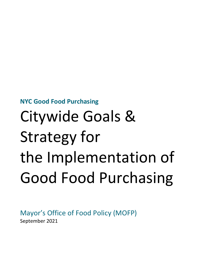**NYC Good Food Purchasing** 

# Citywide Goals & Strategy for the Implementation of Good Food Purchasing

Mayor's Office of Food Policy (MOFP) September 2021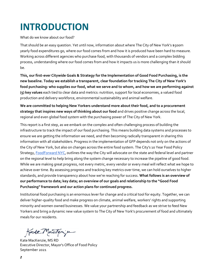## **INTRODUCTION**

What do we know about our food?

That should be an easy question. Yet until now, information about where The City of New York's \$500m yearly food expenditures go, where our food comes from and how it is produced have been hard to measure. Working across different agencies who purchase food, with thousands of vendors and a complex bidding process, understanding where our food comes from and how it impacts us is more challenging than it should be.

**This, our first-ever Citywide Goals & Strategy for the Implementation of Good Food Purchasing, is the new baseline. Today we establish a transparent, clear foundation for tracking The City of New York's food purchasing: who supplies our food, what we serve and to whom, and how we are performing against (5) key values** each tied to clear data and metrics: nutrition, support for local economies, a valued food production and delivery workforce, environmental sustainability and animal welfare.

**We are committed to helping New Yorkers understand more about their food, and to a procurement strategy that inspires new ways of thinking about our food** and drives positive change across the local, regional and even global food system with the purchasing power of The City of New York.

This report is a first step, as we embark on the complex and often challenging process of building the infrastructure to track the impact of our food purchasing. This means building data systems and processes to ensure we are getting the information we need, and then becoming radically transparent in sharing this information with all stakeholders. Progress in the implementation of GFP depends not only on the actions of the City of New York, but also on changes across the entire food system. The City's 10 Year Food Policy Strategy[, FoodForward NYC,](http://nyc.gov/foodforward) outlines the way the City will advocate on the state and federal level and partner on the regional level to help bring along the system change necessary to increase the pipeline of good food. While we are making great progress, not every metric, every vendor or every meal will reflect what we hope to achieve over time. By assessing progress and tracking key metrics over time, we can hold ourselves to higher standards, and provide transparency about how we're reaching for success. **What follows is an overview of our performance to date; key data; an overview of our goals and relationship to the "Good Food Purchasing" framework and our action plans for continued progress.** 

Institutional food purchasing is an enormous lever for change and a critical tool for equity. Together, we can deliver higher-quality food and make progress on climate, animal welfare, workers' rights and supporting minority and women owned businesses. We value your partnership and feedback as we strive to feed New Yorkers and bring a dynamic new value system to The City of New York's procurement of food and ultimately meals for our residents.

Kate Machinju

Kate MacKenzie, MS RD Executive Director, Mayor's Office of Food Policy September 2021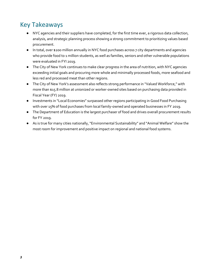## Key Takeaways

- NYC agencies and their suppliers have completed, for the first time ever, a rigorous data collection, analysis, and strategic planning process showing a strong commitment to prioritizing values based procurement.
- In total, over \$200 million annually in NYC food purchases across 7 city departments and agencies who provide food to 1 million students, as well as families, seniors and other vulnerable populations were evaluated in FYI 2019.
- The City of New York continues to make clear progress in the area of nutrition, with NYC agencies exceeding initial goals and procuring more whole and minimally processed foods, more seafood and less red and processed meat than other regions.
- The City of New York's assessment also reflects strong performance in "Valued Workforce," with more than \$15.8 million at unionized or worker-owned sites based on purchasing data provided in Fiscal Year (FY) 2019.
- Investments in "Local Economies" surpassed other regions participating in Good Food Purchasing with over 15% of food purchases from local family-owned and operated businesses in FY 2019.
- The Department of Education is the largest purchaser of food and drives overall procurement results for FY 2019.
- As is true for many cities nationally, "Environmental Sustainability" and "Animal Welfare" show the most room for improvement and positive impact on regional and national food systems.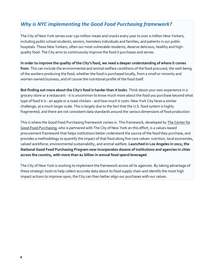### *Why is NYC implementing the Good Food Purchasing framework?*

The City of New York serves over 230 million meals and snacks every year to over a million New Yorkers, including public school students, seniors, homeless individuals and families, and patients in our public hospitals. These New Yorkers, often our most vulnerable residents, deserve delicious, healthy and highquality food. The City aims to continuously improve the food it purchases and serves.

**In order to improve the quality of the City's food, we need a deeper understanding of where it comes from**. This can include the environmental and animal welfare conditions of the food procured, the well-being of the workers producing the food, whether the food is purchased locally, from a small or minority and women-owned business, and of course the nutritional profile of the food itself.

**But finding out more about the City's food is harder than it looks**. Think about your own experience in a grocery store or a restaurant - it is uncommon to know much more about the food you purchase beyond what type of food it is - an apple or a roast chicken - and how much it costs. New York City faces a similar challenge, at a much larger scale. This is largely due to the fact that the U.S. food system is highly fragmented, and there are not consistent data standards around the various dimensions of food production.

This is where the Good Food Purchasing framework comes in. This framework, developed by The Center for [Good Food Purchasing,](https://goodfoodpurchasing.org/) who is partnered with The City of New York on this effort, is a values-based procurement framework that helps institutions better understand the source of the food they purchase, and provides a methodology to quantify the impact of that food along five core values: nutrition, local economies, valued workforce, environmental sustainability, and animal welfare. **Launched in Los Angeles in 2012, the National Good Food Purchasing Program now incorporates dozens of institutions and agencies in cities across the country, with more than \$1 billion in annual food spend leveraged**.

The City of New York is working to implement the framework across all its agencies. By taking advantage of these strategic tools to help collect accurate data about its food supply chain and identify the most high impact actions to improve upon, the City can then better align our purchases with our values.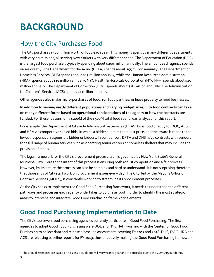## **BACKGROUND**

## How the City Purchases Food

The City purchases \$500 million worth of food each year. This money is spent by many different departments with varying missions, all serving New Yorkers with very different needs. The Department of Education (DOE) is the largest food purchaser, typically spending about \$200 million annually. The amount each agency spends varies greatly. The Department for the Aging (DFTA) spends about \$55 million annually. The Department of Homeless Services (DHS) spends about \$45 million annually, while the Human Resources Administration (HRA)<sup>1</sup> spends about \$16 million annually. NYC Health & Hospitals Corporation (NYC H+H) spends about \$20 million annually. The Department of Correction (DOC) spends about \$16 million annually. The Administration for Children's Services (ACS) spends \$1 million annually.

Other agencies also make micro-purchases of food, run food pantries, or lease property to food businesses.

**In addition to serving vastly different populations and varying budget sizes, City food contracts can take on many different forms based on operational considerations of the agency or how the contracts are funded.** For these reasons, only \$200M of the \$500M total food spend was analyzed for this report.

For example, the Department of Citywide Administrative Services (DCAS) buys food directly for DOC, ACS, and HRA via competitive sealed bids, in which a bidder submits their best price, and the award is made to the lowest responsive, responsible bidder or bidders. In comparison, DFTA and DHS have contracts with vendors for a full range of human services such as operating senior centers or homeless shelters that may include the provision of meals.

The legal framework for the City's procurement process itself is governed by New York State's General Municipal Law. Core to the intent of this process is ensuring both robust competition and a fair process. However, by its nature the process can also be complex and hard to understand. It is not surprising therefore that thousands of City staff work on procurement issues every day. The City, led by the Mayor's Office of Contract Services (MOCS), is constantly working to streamline its procurement processes.

As the City seeks to implement the Good Food Purchasing framework, it needs to understand the different pathways and processes each agency undertakes to purchase food in order to identify the most strategic areas to intervene and integrate Good Food Purchasing framework elements.

## **Good Food Purchasing Implementation to Date**

The City's top seven food purchasing agencies currently participate in Good Food Purchasing. The first agencies to adopt Good Food Purchasing were DOE and NYC H+H, working with the Center for Good Food Purchasing to collect data and release a baseline assessment, covering FY 2017 and 2018. DHS, DOC, HRA and ACS are releasing baseline reports for FY 2019, thus effectively making the Good Food Purchasing framework

 $^{\rm 1}$  The annual estimates are based on FY 2019 actuals and will vary year to year and in particular due to the COVID19 pandemic.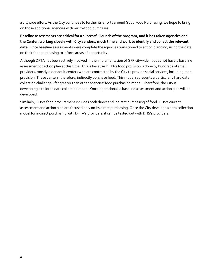a citywide effort. As the City continues to further its efforts around Good Food Purchasing, we hope to bring on those additional agencies with micro-food purchases.

**Baseline assessments are critical for a successful launch of the program, and it has taken agencies and the Center, working closely with City vendors, much time and work to identify and collect the relevant data.** Once baseline assessments were complete the agencies transitioned to action planning, using the data on their food purchasing to inform areas of opportunity.

Although DFTA has been actively involved in the implementation of GFP citywide, it does not have a baseline assessment or action plan at this time. This is because DFTA's food provision is done by hundreds of small providers, mostly older adult centers who are contracted by the City to provide social services, including meal provision. These centers, therefore, indirectly purchase food. This model represents a particularly hard data collection challenge - far greater than other agencies' food purchasing model. Therefore, the City is developing a tailored data collection model. Once operational, a baseline assessment and action plan will be developed.

Similarly, DHS's food procurement includes both direct and indirect purchasing of food. DHS's current assessment and action plan are focused only on its direct purchasing. Once the City develops a data collection model for indirect purchasing with DFTA's providers, it can be tested out with DHS's providers.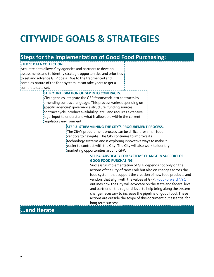## **CITYWIDE GOALS & STRATEGIES**

### **Steps for the implementation of Good Food Purchasing:**

#### **STEP 1: DATA COLLECTION.**

Accurate data allows City agencies and partners to develop assessments and to identify strategic opportunities and priorities to set and advance GFP goals. Due to the fragmented and complex nature of the food system, it can take years to get a complete data set.

#### **STEP 2: INTEGRATION OF GFP INTO CONTRACTS.**

City agencies integrate the GFP framework into contracts by amending contract language. This process varies depending on specific agencies' governance structure, funding sources, contract cycle, product availability, etc., and requires extensive legal input to understand what is allowable within the current regulatory environment.

#### **STEP 3: STREAMLINING THE CITY'S PROCUREMENT PROCESS.**

The City's procurement process can be difficult for small food vendors to navigate. The City continues to improve its technology systems and is exploring innovative ways to make it easier to contract with the City. The City will also work to identify marketing opportunities around GFP.

#### **STEP 4: ADVOCACY FOR SYSTEMS CHANGE IN SUPPORT OF GOOD FOOD PURCHASING.**

Successful implementation of GFP depends not only on the actions of the City of New York but also on changes across the food system that support the creation of new food products and vendors that align with the values of GFP. [FoodForward NYC](http://nyc.gov/foodforward) outlines how the City will advocate on the state and federal level  $\frac{1}{2}$ and partner on the regional level to help bring along the system change necessary to increase the pipeline of good food. These actions are outside the scope of this document but essential for long term success.

### **...and iterate**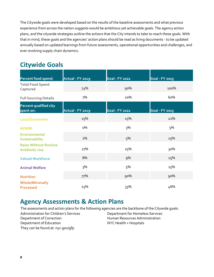The Citywide goals were developed based on the results of the baseline assessments and what previous experience from across the nation suggests would be ambitious yet achievable goals. The agency action plans, and the citywide strategies outline the actions that the City intends to take to reach these goals. With that in mind, these goals and the agencies' action plans should be read as living documents - to be updated annually based on updated learnings from future assessments, operational opportunities and challenges, and ever-evolving supply chain dynamics.

## **Citywide Goals**

| Percent food spend:                                   | <b>Actual - FY 2019</b> | <b>Goal - FY 2022</b> | <b>Goal - FY 2025</b> |
|-------------------------------------------------------|-------------------------|-----------------------|-----------------------|
| <b>Total Food Spend</b><br>Captured                   | 74%                     | 90%                   | 100%                  |
| <b>Full Sourcing Details</b>                          | 7%                      | 20%                   | 60%                   |
| Percent qualified city<br>spent on:                   | <b>Actual - FY 2019</b> | <b>Goal - FY 2022</b> | <b>Goal - FY 2025</b> |
| <b>Local Economies</b>                                | 15%                     | 15%                   | 22%                   |
| <b>M/WBE</b>                                          | о%                      | 3%                    | 5%                    |
| Environmental<br>Sustainability                       | 1%                      | 5%                    | 15%                   |
| <b>Raise Without Routine</b><br><b>Antibiotic Use</b> | 27%                     | 25%                   | 30%                   |
| <b>Valued Workforce</b>                               | 8%                      | 9%                    | 15%                   |
| <b>Animal Welfare</b>                                 | 3%                      | 5%                    | 15%                   |
| <b>Nutrition</b>                                      | 77%                     | 90%                   | 90%                   |
| <b>Whole/Minimally</b><br><b>Processed</b>            | 25%                     | 33%                   | 46%                   |

### **Agency Assessments & Action Plans**

The assessments and action plans for the following agencies are the backbone of the Citywide goals: Administration for Children's Services Department of Correction Department of Education Department for Homeless Services Human Resources Administration NYC Health + Hospitals They can be found at: nyc.gov/gfp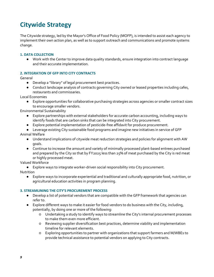## **Citywide Strategy**

The Citywide strategy, led by the Mayor's Office of Food Policy (MOFP), is intended to assist each agency to implement their own action plan, as well as to support outreach and communications and promote systems change.

#### **1. DATA COLLECTION**

● Work with the Center to improve data quality standards, ensure integration into contract language and their accurate implementation.

#### **2. INTEGRATION OF GFP INTO CITY CONTRACTS**

General

- Develop a "library" of legal procurement best practices.
- Conduct landscape analysis of contracts governing City owned or leased properties including cafes, restaurants and commissaries.

Local Economies

● Explore opportunities for collaborative purchasing strategies across agencies or smaller contract sizes to encourage smaller vendors.

Environmental Sustainability

- Explore partnerships with external stakeholders for accurate carbon accounting, including ways to identify foods that are carbon sinks that can be integrated into City procurement.
- Explore potential implementation of pesticide-free affidavit for produce procurement.
- Leverage existing City sustainable food programs and imagine new initiatives in service of GFP Animal Welfare
	- Understand implications of citywide meat reduction strategies and policies for alignment with AW goals.
	- Continue to increase the amount and variety of minimally processed plant-based entrees purchased and prepared by the City so that by FY2025 less than 25% of meat purchased by the City is red meat or highly processed meat.

Valued Workforce

● Explore ways to integrate worker-driven social responsibility into City procurement.

Nutrition

Explore ways to incorporate experiential and traditional and culturally appropriate food, nutrition, or agricultural education activities in program planning.

#### **3. STREAMLINING THE CITY'S PROCUREMENT PROCESS**

- Develop a list of potential vendors that are compatible with the GFP framework that agencies can refer to.
- Explore different ways to make it easier for food vendors to do business with the City, including, potentially, by doing one or more of the following:
	- Undertaking a study to identify ways to streamline the City's internal procurement processes to make them even more efficient.
	- Reviewing supplier diversification best practices, determine viability and implementation timeline for relevant elements.
	- Exploring opportunities to partner with organizations that support farmers and M/WBEs to provide technical assistance to potential vendors on applying to City contracts.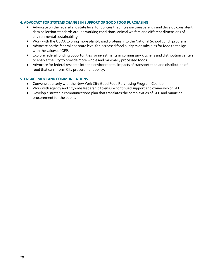#### **4. ADVOCACY FOR SYSTEMS CHANGE IN SUPPORT OF GOOD FOOD PURCHASING**

- Advocate on the federal and state level for policies that increase transparency and develop consistent data collection standards around working conditions, animal welfare and different dimensions of environmental sustainability.
- Work with the USDA to bring more plant-based proteins into the National School Lunch program
- Advocate on the federal and state level for increased food budgets or subsidies for food that align with the values of GFP.
- Explore federal funding opportunities for investments in commissary kitchens and distribution centers to enable the City to provide more whole and minimally processed foods.
- Advocate for federal research into the environmental impacts of transportation and distribution of food that can inform City procurement policy.

#### **5. ENGAGEMENT AND COMMUNICATIONS**

- Convene quarterly with the New York City Good Food Purchasing Program Coalition.
- Work with agency and citywide leadership to ensure continued support and ownership of GFP.
- Develop a strategic communications plan that translates the complexities of GFP and municipal procurement for the public.